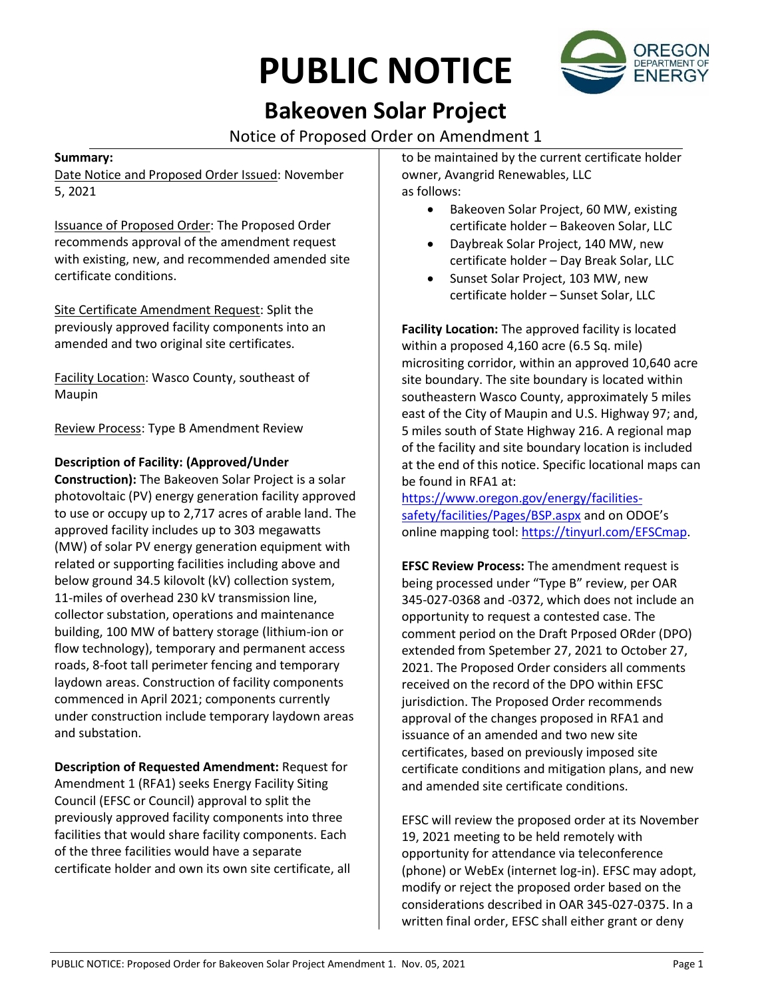# **PUBLIC NOTICE**



## **Bakeoven Solar Project**

Notice of Proposed Order on Amendment 1

#### **Summary:**

Date Notice and Proposed Order Issued: November 5, 2021

Issuance of Proposed Order: The Proposed Order recommends approval of the amendment request with existing, new, and recommended amended site certificate conditions.

Site Certificate Amendment Request: Split the previously approved facility components into an amended and two original site certificates.

Facility Location: Wasco County, southeast of Maupin

Review Process: Type B Amendment Review

### **Description of Facility: (Approved/Under**

**Construction):** The Bakeoven Solar Project is a solar photovoltaic (PV) energy generation facility approved to use or occupy up to 2,717 acres of arable land. The approved facility includes up to 303 megawatts (MW) of solar PV energy generation equipment with related or supporting facilities including above and below ground 34.5 kilovolt (kV) collection system, 11-miles of overhead 230 kV transmission line, collector substation, operations and maintenance building, 100 MW of battery storage (lithium-ion or flow technology), temporary and permanent access roads, 8-foot tall perimeter fencing and temporary laydown areas. Construction of facility components commenced in April 2021; components currently under construction include temporary laydown areas and substation.

**Description of Requested Amendment:** Request for Amendment 1 (RFA1) seeks Energy Facility Siting Council (EFSC or Council) approval to split the previously approved facility components into three facilities that would share facility components. Each of the three facilities would have a separate certificate holder and own its own site certificate, all to be maintained by the current certificate holder owner, Avangrid Renewables, LLC as follows:

- Bakeoven Solar Project, 60 MW, existing certificate holder – Bakeoven Solar, LLC
- Daybreak Solar Project, 140 MW, new certificate holder – Day Break Solar, LLC
- Sunset Solar Project, 103 MW, new certificate holder – Sunset Solar, LLC

**Facility Location:** The approved facility is located within a proposed 4,160 acre (6.5 Sq. mile) micrositing corridor, within an approved 10,640 acre site boundary. The site boundary is located within southeastern Wasco County, approximately 5 miles east of the City of Maupin and U.S. Highway 97; and, 5 miles south of State Highway 216. A regional map of the facility and site boundary location is included at the end of this notice. Specific locational maps can be found in RFA1 at:

[https://www.oregon.gov/energy/facilities](https://www.oregon.gov/energy/facilities-safety/facilities/Pages/BSP.aspx)[safety/facilities/Pages/BSP.aspx](https://www.oregon.gov/energy/facilities-safety/facilities/Pages/BSP.aspx) and on ODOE's online mapping tool: [https://tinyurl.com/EFSCmap.](https://tinyurl.com/EFSCmap)

**EFSC Review Process:** The amendment request is being processed under "Type B" review, per OAR 345-027-0368 and -0372, which does not include an opportunity to request a contested case. The comment period on the Draft Prposed ORder (DPO) extended from Spetember 27, 2021 to October 27, 2021. The Proposed Order considers all comments received on the record of the DPO within EFSC jurisdiction. The Proposed Order recommends approval of the changes proposed in RFA1 and issuance of an amended and two new site certificates, based on previously imposed site certificate conditions and mitigation plans, and new and amended site certificate conditions.

EFSC will review the proposed order at its November 19, 2021 meeting to be held remotely with opportunity for attendance via teleconference (phone) or WebEx (internet log-in). EFSC may adopt, modify or reject the proposed order based on the considerations described in OAR 345-027-0375. In a written final order, EFSC shall either grant or deny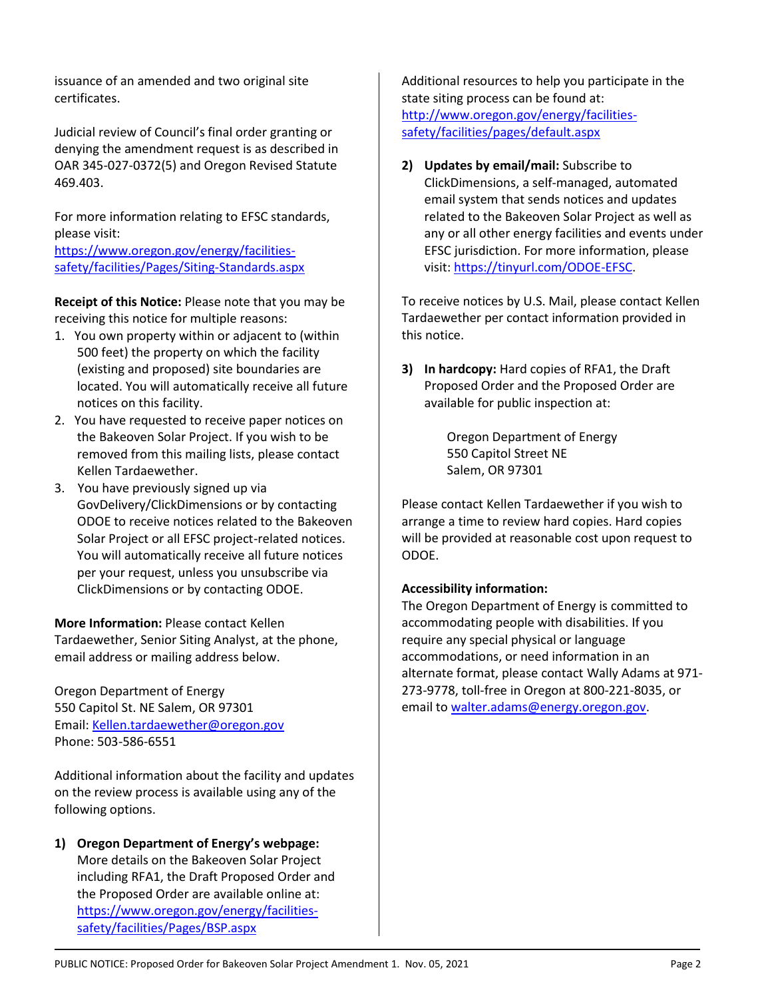issuance of an amended and two original site certificates.

Judicial review of Council's final order granting or denying the amendment request is as described in OAR 345-027-0372(5) and Oregon Revised Statute 469.403.

For more information relating to EFSC standards, please visit:

[https://www.oregon.gov/energy/facilities](https://www.oregon.gov/energy/facilities-safety/facilities/Pages/Siting-Standards.aspx)[safety/facilities/Pages/Siting-Standards.aspx](https://www.oregon.gov/energy/facilities-safety/facilities/Pages/Siting-Standards.aspx)

**Receipt of this Notice:** Please note that you may be receiving this notice for multiple reasons:

- 1. You own property within or adjacent to (within 500 feet) the property on which the facility (existing and proposed) site boundaries are located. You will automatically receive all future notices on this facility.
- 2. You have requested to receive paper notices on the Bakeoven Solar Project. If you wish to be removed from this mailing lists, please contact Kellen Tardaewether.
- 3. You have previously signed up via GovDelivery/ClickDimensions or by contacting ODOE to receive notices related to the Bakeoven Solar Project or all EFSC project-related notices. You will automatically receive all future notices per your request, unless you unsubscribe via ClickDimensions or by contacting ODOE.

**More Information:** Please contact Kellen Tardaewether, Senior Siting Analyst, at the phone, email address or mailing address below.

Oregon Department of Energy 550 Capitol St. NE Salem, OR 97301 Email: [Kellen.tardaewether@oregon.gov](mailto:Kellen.tardaewether@oregon.gov) Phone: 503-586-6551

Additional information about the facility and updates on the review process is available using any of the following options.

**1) Oregon Department of Energy's webpage:** More details on the Bakeoven Solar Project including RFA1, the Draft Proposed Order and the Proposed Order are available online at: [https://www.oregon.gov/energy/facilities](https://www.oregon.gov/energy/facilities-safety/facilities/Pages/BSP.aspx)[safety/facilities/Pages/BSP.aspx](https://www.oregon.gov/energy/facilities-safety/facilities/Pages/BSP.aspx)

Additional resources to help you participate in the state siting process can be found at: [http://www.oregon.gov/energy/facilities](http://www.oregon.gov/energy/facilities-safety/facilities/pages/default.aspx)[safety/facilities/pages/default.aspx](http://www.oregon.gov/energy/facilities-safety/facilities/pages/default.aspx)

**2) Updates by email/mail:** Subscribe to ClickDimensions, a self-managed, automated email system that sends notices and updates related to the Bakeoven Solar Project as well as any or all other energy facilities and events under EFSC jurisdiction. For more information, please visit: [https://tinyurl.com/ODOE-EFSC.](https://tinyurl.com/ODOE-EFSC)

To receive notices by U.S. Mail, please contact Kellen Tardaewether per contact information provided in this notice.

**3) In hardcopy:** Hard copies of RFA1, the Draft Proposed Order and the Proposed Order are available for public inspection at:

> Oregon Department of Energy 550 Capitol Street NE Salem, OR 97301

Please contact Kellen Tardaewether if you wish to arrange a time to review hard copies. Hard copies will be provided at reasonable cost upon request to ODOE.

#### **Accessibility information:**

The Oregon Department of Energy is committed to accommodating people with disabilities. If you require any special physical or language accommodations, or need information in an alternate format, please contact Wally Adams at 971- 273-9778, toll-free in Oregon at 800-221-8035, or email to [walter.adams@energy.oregon.gov.](mailto:walter.adams@energy.oregon.gov)